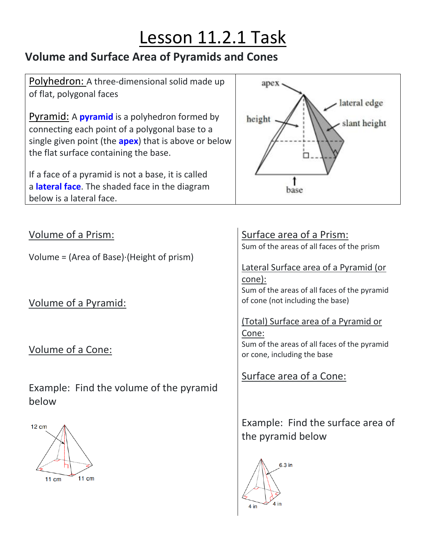# Lesson 11.2.1 Task

## **Volume and Surface Area of Pyramids and Cones**

Polyhedron: A three-dimensional solid made up of flat, polygonal faces

Pyramid: A **pyramid** is a polyhedron formed by connecting each point of a polygonal base to a single given point (the **apex**) that is above or below the flat surface containing the base.

If a face of a pyramid is not a base, it is called a **lateral face**. The shaded face in the diagram below is a lateral face.



Volume of a Prism:

Volume = (Area of Base)·(Height of prism)

Volume of a Pyramid:

Volume of a Cone:

Example: Find the volume of the pyramid below



### Surface area of a Prism:

Sum of the areas of all faces of the prism

Lateral Surface area of a Pyramid (or cone):

Sum of the areas of all faces of the pyramid of cone (not including the base)

### (Total) Surface area of a Pyramid or

Cone:

Sum of the areas of all faces of the pyramid or cone, including the base

Surface area of a Cone:

Example: Find the surface area of the pyramid below